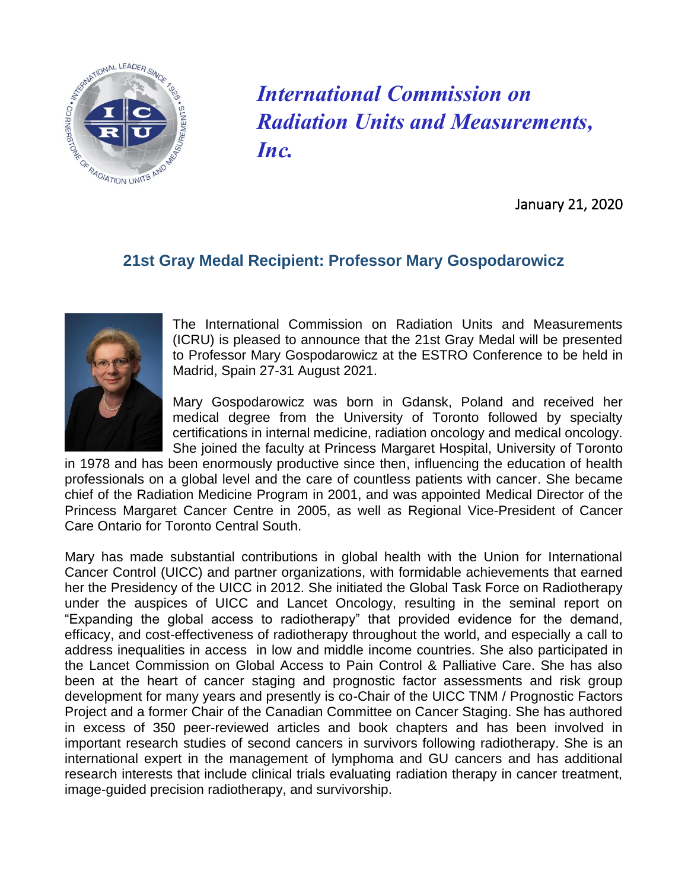

*International Commission on Radiation Units and Measurements, Inc.*

January 21, 2020

## **21st Gray Medal Recipient: Professor Mary Gospodarowicz**



The International Commission on Radiation Units and Measurements (ICRU) is pleased to announce that the 21st Gray Medal will be presented to Professor Mary Gospodarowicz at the ESTRO Conference to be held in Madrid, Spain 27-31 August 2021.

Mary Gospodarowicz was born in Gdansk, Poland and received her medical degree from the University of Toronto followed by specialty certifications in internal medicine, radiation oncology and medical oncology. She joined the faculty at Princess Margaret Hospital, University of Toronto

in 1978 and has been enormously productive since then, influencing the education of health professionals on a global level and the care of countless patients with cancer. She became chief of the Radiation Medicine Program in 2001, and was appointed Medical Director of the Princess Margaret Cancer Centre in 2005, as well as Regional Vice-President of Cancer Care Ontario for Toronto Central South.

Mary has made substantial contributions in global health with the Union for International Cancer Control (UICC) and partner organizations, with formidable achievements that earned her the Presidency of the UICC in 2012. She initiated the Global Task Force on Radiotherapy under the auspices of UICC and Lancet Oncology, resulting in the seminal report on "Expanding the global access to radiotherapy" that provided evidence for the demand, efficacy, and cost-effectiveness of radiotherapy throughout the world, and especially a call to address inequalities in access in low and middle income countries. She also participated in the Lancet Commission on Global Access to Pain Control & Palliative Care. She has also been at the heart of cancer staging and prognostic factor assessments and risk group development for many years and presently is co-Chair of the UICC TNM / Prognostic Factors Project and a former Chair of the Canadian Committee on Cancer Staging. She has authored in excess of 350 peer-reviewed articles and book chapters and has been involved in important research studies of second cancers in survivors following radiotherapy. She is an international expert in the management of lymphoma and GU cancers and has additional research interests that include clinical trials evaluating radiation therapy in cancer treatment, image-guided precision radiotherapy, and survivorship.